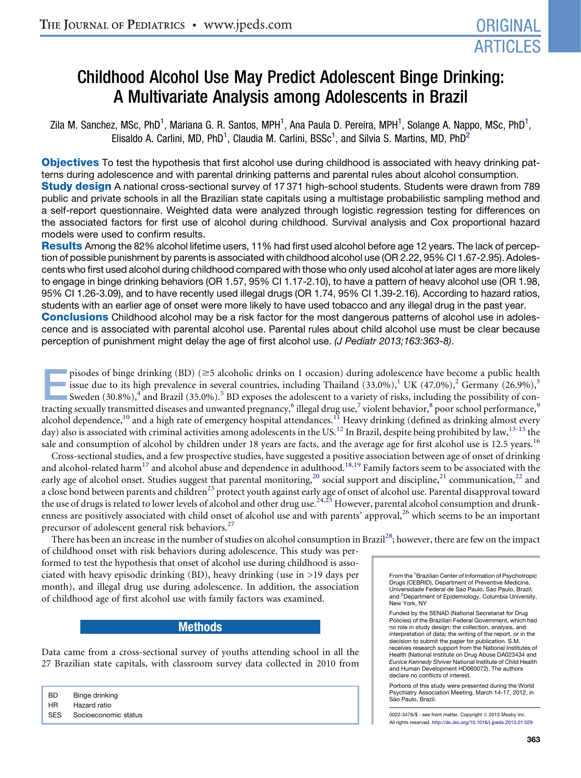# Childhood Alcohol Use May Predict Adolescent Binge Drinking: A Multivariate Analysis among Adolescents in Brazil

Zila M. Sanchez, MSc, PhD<sup>1</sup>, Mariana G. R. Santos, MPH<sup>1</sup>, Ana Paula D. Pereira, MPH<sup>1</sup>, Solange A. Nappo, MSc, PhD<sup>1</sup>, Elisaldo A. Carlini, MD, PhD<sup>1</sup>, Claudia M. Carlini, BSSc<sup>1</sup>, and Silvia S. Martins, MD, PhD<sup>2</sup>

**Objectives** To test the hypothesis that first alcohol use during childhood is associated with heavy drinking patterns during adolescence and with parental drinking patterns and parental rules about alcohol consumption. **Study design** A national cross-sectional survey of 17 371 high-school students. Students were drawn from 789 public and private schools in all the Brazilian state capitals using a multistage probabilistic sampling method and a self-report questionnaire. Weighted data were analyzed through logistic regression testing for differences on the associated factors for first use of alcohol during childhood. Survival analysis and Cox proportional hazard models were used to confirm results.

**Results** Among the 82% alcohol lifetime users, 11% had first used alcohol before age 12 years. The lack of perception of possible punishment by parents is associated with childhood alcohol use (OR 2.22, 95% CI 1.67-2.95). Adolescents who first used alcohol during childhood compared with those who only used alcohol at later ages are more likely to engage in binge drinking behaviors (OR 1.57, 95% CI 1.17-2.10), to have a pattern of heavy alcohol use (OR 1.98, 95% CI 1.26-3.09), and to have recently used illegal drugs (OR 1.74, 95% CI 1.39-2.16). According to hazard ratios, students with an earlier age of onset were more likely to have used tobacco and any illegal drug in the past year. **Conclusions** Childhood alcohol may be a risk factor for the most dangerous patterns of alcohol use in adolescence and is associated with parental alcohol use. Parental rules about child alcohol use must be clear because perception of punishment might delay the age of first alcohol use. *(J Pediatr 2013;163:363-8)*.

pisodes of binge drinking (BD) ( $\geq$ 5 alcoholic drinks on 1 occasion) during adolescence have become a public health<br>issue due to its high prevalence in several countries, including Thailand (33.0%),<sup>1</sup> UK (47.0%),<sup>2</sup> Ge issue due to its high prevalence in several countries, including Thailand  $(33.0\%)$  $(33.0\%)$  $(33.0\%)$ ,<sup>[1](#page-4-0)</sup> UK  $(47.0\%)$ ,<sup>2</sup> Germany  $(26.9\%)$ ,<sup>3</sup> Sweden (30.8%),<sup>[4](#page-4-0)</sup> and Brazil (3[5](#page-4-0).0%).<sup>5</sup> BD exposes the adolescent to a variety of risks, including the possibility of con-tracting sexually transmitted diseases and unwanted pregnancy,<sup>[6](#page-4-0)</sup> illegal drug use,<sup>[7](#page-5-0)</sup> violent behavior,<sup>[8](#page-5-0)</sup> poor school performance,<sup>[9](#page-5-0)</sup> alcohol dependence,<sup>[10](#page-5-0)</sup> and a high rate of emergency hospital attendances.<sup>[11](#page-5-0)</sup> Heavy drinking (defined as drinking almost every day) also is associated with criminal activities among adolescents in the US.<sup>[12](#page-5-0)</sup> In Brazil, despite being prohibited by law,<sup>[13-15](#page-5-0)</sup> the sale and consumption of alcohol by children under 18 years are facts, and the average age for first alcohol use is 12.5 years.<sup>[16](#page-5-0)</sup>

Cross-sectional studies, and a few prospective studies, have suggested a positive association between age of onset of drinking and alcohol-related harm<sup>[17](#page-5-0)</sup> and alcohol abuse and dependence in adulthood.<sup>[18,19](#page-5-0)</sup> Family factors seem to be associated with the early age of alcohol onset. Studies suggest that parental monitoring,  $20$  social support and discipline,  $21$  communication,  $22$  and a close bond between parents and children<sup>[23](#page-5-0)</sup> protect youth against early age of onset of alcohol use. Parental disapproval toward the use of drugs is related to lower levels of alcohol and other drug use.<sup>[24,25](#page-5-0)</sup> However, parental alcohol consumption and drunkenness are positively associated with child onset of alcohol use and with parents' approval,  $^{26}$  $^{26}$  $^{26}$  which seems to be an important precursor of adolescent general risk behaviors.<sup>[27](#page-5-0)</sup>

There has been an increase in the number of studies on alcohol consumption in Brazil<sup>[28](#page-5-0)</sup>; however, there are few on the impact

of childhood onset with risk behaviors during adolescence. This study was performed to test the hypothesis that onset of alcohol use during childhood is associated with heavy episodic drinking (BD), heavy drinking (use in >19 days per month), and illegal drug use during adolescence. In addition, the association of childhood age of first alcohol use with family factors was examined.

## Methods

Data came from a cross-sectional survey of youths attending school in all the 27 Brazilian state capitals, with classroom survey data collected in 2010 from

BD Binge drinking HR Hazard ratio SES Socioeconomic status

From the <sup>1</sup> Brazilian Center of Information of Psychotropic Drugs (CEBRID), Department of Preventive Medicine, Universidade Federal de Sao Paulo, Sao Paulo, Brazil; and <sup>2</sup>Department of Epidemiology, Columbia University, New York, NY

Funded by the SENAD (National Secretariat for Drug Policies) of the Brazilian Federal Government, which had no role in study design; the collection, analysis, and interpretation of data; the writing of the report, or in the decision to submit the paper for publication. S.M. receives research support from the National Institutes of Health (National Institute on Drug Abuse DA023434 and *Eunice Kennedy Shriver* National Institute of Child Health and Human Development HD060072). The authors declare no conflicts of interest.

Portions of this study were presented during the World Psychiatry Association Meeting, March 14-17, 2012, in São Paulo, Brazil.

0022-3476/\$ - see front matter. Copyright © 2013 Mosby Inc. All rights reserved. <http://dx.doi.org/10.1016/j.jpeds.2013.01.029>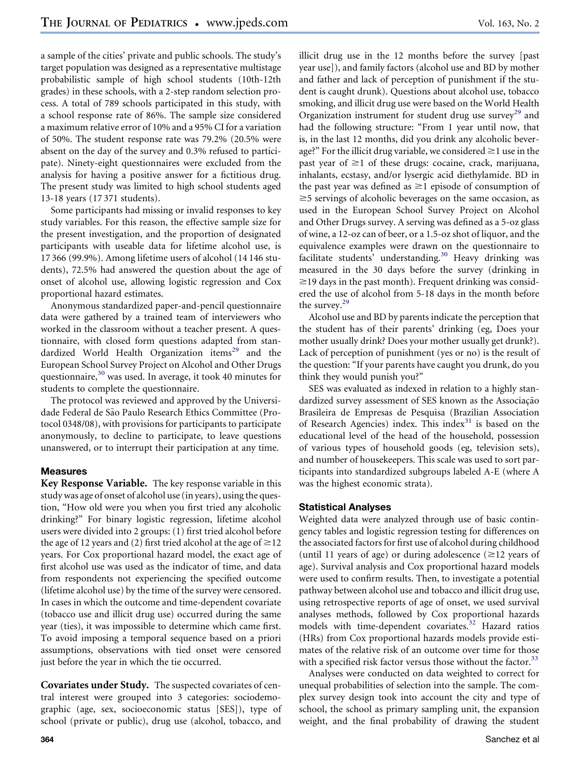a sample of the cities' private and public schools. The study's target population was designed as a representative multistage probabilistic sample of high school students (10th-12th grades) in these schools, with a 2-step random selection process. A total of 789 schools participated in this study, with a school response rate of 86%. The sample size considered a maximum relative error of 10% and a 95% CI for a variation of 50%. The student response rate was 79.2% (20.5% were absent on the day of the survey and 0.3% refused to participate). Ninety-eight questionnaires were excluded from the analysis for having a positive answer for a fictitious drug. The present study was limited to high school students aged 13-18 years (17 371 students).

Some participants had missing or invalid responses to key study variables. For this reason, the effective sample size for the present investigation, and the proportion of designated participants with useable data for lifetime alcohol use, is 17 366 (99.9%). Among lifetime users of alcohol (14 146 students), 72.5% had answered the question about the age of onset of alcohol use, allowing logistic regression and Cox proportional hazard estimates.

Anonymous standardized paper-and-pencil questionnaire data were gathered by a trained team of interviewers who worked in the classroom without a teacher present. A questionnaire, with closed form questions adapted from stan-dardized World Health Organization items<sup>[29](#page-5-0)</sup> and the European School Survey Project on Alcohol and Other Drugs questionnaire,<sup>[30](#page-5-0)</sup> was used. In average, it took 40 minutes for students to complete the questionnaire.

The protocol was reviewed and approved by the Universidade Federal de São Paulo Research Ethics Committee (Protocol 0348/08), with provisions for participants to participate anonymously, to decline to participate, to leave questions unanswered, or to interrupt their participation at any time.

## Measures

Key Response Variable. The key response variable in this study was age of onset of alcohol use (in years), using the question, "How old were you when you first tried any alcoholic drinking?" For binary logistic regression, lifetime alcohol users were divided into 2 groups: (1) first tried alcohol before the age of 12 years and (2) first tried alcohol at the age of  $\geq$  12 years. For Cox proportional hazard model, the exact age of first alcohol use was used as the indicator of time, and data from respondents not experiencing the specified outcome (lifetime alcohol use) by the time of the survey were censored. In cases in which the outcome and time-dependent covariate (tobacco use and illicit drug use) occurred during the same year (ties), it was impossible to determine which came first. To avoid imposing a temporal sequence based on a priori assumptions, observations with tied onset were censored just before the year in which the tie occurred.

Covariates under Study. The suspected covariates of central interest were grouped into 3 categories: sociodemographic (age, sex, socioeconomic status [SES]), type of school (private or public), drug use (alcohol, tobacco, and

illicit drug use in the 12 months before the survey [past year use]), and family factors (alcohol use and BD by mother and father and lack of perception of punishment if the student is caught drunk). Questions about alcohol use, tobacco smoking, and illicit drug use were based on the World Health Organization instrument for student drug use survey<sup>[29](#page-5-0)</sup> and had the following structure: "From 1 year until now, that is, in the last 12 months, did you drink any alcoholic beverage?" For the illicit drug variable, we considered  $\geq$  1 use in the past year of  $\geq 1$  of these drugs: cocaine, crack, marijuana, inhalants, ecstasy, and/or lysergic acid diethylamide. BD in the past year was defined as  $\geq$ 1 episode of consumption of  $\geq$ 5 servings of alcoholic beverages on the same occasion, as used in the European School Survey Project on Alcohol and Other Drugs survey. A serving was defined as a 5-oz glass of wine, a 12-oz can of beer, or a 1.5-oz shot of liquor, and the equivalence examples were drawn on the questionnaire to facilitate students' understanding. $30$  Heavy drinking was measured in the 30 days before the survey (drinking in  $\geq$ 19 days in the past month). Frequent drinking was considered the use of alcohol from 5-18 days in the month before the survey.<sup>[29](#page-5-0)</sup>

Alcohol use and BD by parents indicate the perception that the student has of their parents' drinking (eg, Does your mother usually drink? Does your mother usually get drunk?). Lack of perception of punishment (yes or no) is the result of the question: "If your parents have caught you drunk, do you think they would punish you?"

SES was evaluated as indexed in relation to a highly standardized survey assessment of SES known as the Associação Brasileira de Empresas de Pesquisa (Brazilian Association of Research Agencies) index. This index $31$  is based on the educational level of the head of the household, possession of various types of household goods (eg, television sets), and number of housekeepers. This scale was used to sort participants into standardized subgroups labeled A-E (where A was the highest economic strata).

#### Statistical Analyses

Weighted data were analyzed through use of basic contingency tables and logistic regression testing for differences on the associated factors for first use of alcohol during childhood (until 11 years of age) or during adolescence  $(\geq 12)$  years of age). Survival analysis and Cox proportional hazard models were used to confirm results. Then, to investigate a potential pathway between alcohol use and tobacco and illicit drug use, using retrospective reports of age of onset, we used survival analyses methods, followed by Cox proportional hazards models with time-dependent covariates.<sup>32</sup> Hazard ratios (HRs) from Cox proportional hazards models provide estimates of the relative risk of an outcome over time for those with a specified risk factor versus those without the factor.<sup>[33](#page-5-0)</sup>

Analyses were conducted on data weighted to correct for unequal probabilities of selection into the sample. The complex survey design took into account the city and type of school, the school as primary sampling unit, the expansion weight, and the final probability of drawing the student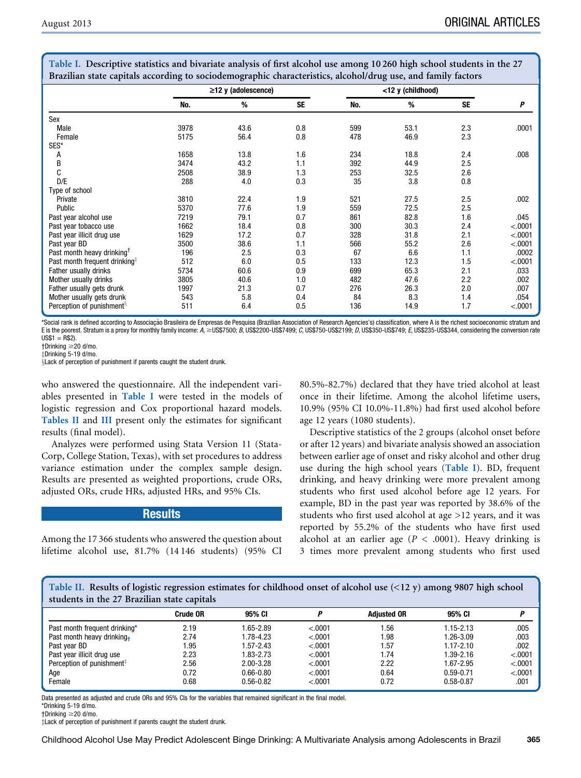| Brazilian state capitals according to sociodemographic characteristics, alcohol/drug use, and family factors |                           |      |           |                   |      |           |         |  |  |
|--------------------------------------------------------------------------------------------------------------|---------------------------|------|-----------|-------------------|------|-----------|---------|--|--|
|                                                                                                              | $\geq$ 12 y (adolescence) |      |           | <12 y (childhood) |      |           |         |  |  |
|                                                                                                              | No.                       | %    | <b>SE</b> | No.               | %    | <b>SE</b> | P       |  |  |
| Sex                                                                                                          |                           |      |           |                   |      |           |         |  |  |
| Male                                                                                                         | 3978                      | 43.6 | 0.8       | 599               | 53.1 | 2.3       | .0001   |  |  |
| Female                                                                                                       | 5175                      | 56.4 | 0.8       | 478               | 46.9 | 2.3       |         |  |  |
| SES*                                                                                                         |                           |      |           |                   |      |           |         |  |  |
| А                                                                                                            | 1658                      | 13.8 | 1.6       | 234               | 18.8 | 2.4       | .008    |  |  |
| B                                                                                                            | 3474                      | 43.2 | 1.1       | 392               | 44.9 | 2.5       |         |  |  |
| C                                                                                                            | 2508                      | 38.9 | 1.3       | 253               | 32.5 | 2.6       |         |  |  |
| D/E                                                                                                          | 288                       | 4.0  | 0.3       | 35                | 3.8  | 0.8       |         |  |  |
| Type of school                                                                                               |                           |      |           |                   |      |           |         |  |  |
| Private                                                                                                      | 3810                      | 22.4 | 1.9       | 521               | 27.5 | 2.5       | .002    |  |  |
| Public                                                                                                       | 5370                      | 77.6 | 1.9       | 559               | 72.5 | 2.5       |         |  |  |
| Past year alcohol use                                                                                        | 7219                      | 79.1 | 0.7       | 861               | 82.8 | 1.6       | .045    |  |  |
| Past year tobacco use                                                                                        | 1662                      | 18.4 | 0.8       | 300               | 30.3 | 2.4       | < .0001 |  |  |
| Past year illicit drug use                                                                                   | 1629                      | 17.2 | 0.7       | 328               | 31.8 | 2.1       | < .0001 |  |  |
| Past year BD                                                                                                 | 3500                      | 38.6 | 1.1       | 566               | 55.2 | 2.6       | < .0001 |  |  |
| Past month heavy drinking <sup>†</sup>                                                                       | 196                       | 2.5  | 0.3       | 67                | 6.6  | 1.1       | .0002   |  |  |
| Past month frequent drinking $\frac{1}{2}$                                                                   | 512                       | 6.0  | 0.5       | 133               | 12.3 | 1.5       | < .0001 |  |  |
| Father usually drinks                                                                                        | 5734                      | 60.6 | 0.9       | 699               | 65.3 | 2.1       | .033    |  |  |
| Mother usually drinks                                                                                        | 3805                      | 40.6 | 1.0       | 482               | 47.6 | 2.2       | .002    |  |  |
| Father usually gets drunk                                                                                    | 1997                      | 21.3 | 0.7       | 276               | 26.3 | 2.0       | .007    |  |  |
| Mother usually gets drunk                                                                                    | 543                       | 5.8  | 0.4       | 84                | 8.3  | 1.4       | .054    |  |  |
| Perception of punishment <sup>§</sup>                                                                        | 511                       | 6.4  | 0.5       | 136               | 14.9 | 1.7       | < .0001 |  |  |

<span id="page-2-0"></span>Table I. Descriptive statistics and bivariate analysis of first alcohol use among 10 260 high school students in the 27

\*Social rank is defined according to Associação Brasileira de Empresas de Pesquisa (Brazilian Association of Research Agencies's) classification, where A is the richest socioeconomic stratum and E is the poorest. Stratum is a proxy for monthly family income:  $A \geq$ US\$7500; B, US\$2200-US\$7499; C, US\$750-US\$2199; D, US\$350-US\$749; E, US\$235-US\$344, considering the conversion rate  $USS1 = RS2$ 

 $\dagger$ Drinking  $\geq$ 20 d/mo.

zDrinking 5-19 d/mo.

§Lack of perception of punishment if parents caught the student drunk.

who answered the questionnaire. All the independent variables presented in Table I were tested in the models of logistic regression and Cox proportional hazard models. Tables II and [III](#page-3-0) present only the estimates for significant results (final model).

Analyzes were performed using Stata Version 11 (Stata-Corp, College Station, Texas), with set procedures to address variance estimation under the complex sample design. Results are presented as weighted proportions, crude ORs, adjusted ORs, crude HRs, adjusted HRs, and 95% CIs.

## Results

Among the 17 366 students who answered the question about lifetime alcohol use, 81.7% (14 146 students) (95% CI 80.5%-82.7%) declared that they have tried alcohol at least once in their lifetime. Among the alcohol lifetime users, 10.9% (95% CI 10.0%-11.8%) had first used alcohol before age 12 years (1080 students).

Descriptive statistics of the 2 groups (alcohol onset before or after 12 years) and bivariate analysis showed an association between earlier age of onset and risky alcohol and other drug use during the high school years (Table I). BD, frequent drinking, and heavy drinking were more prevalent among students who first used alcohol before age 12 years. For example, BD in the past year was reported by 38.6% of the students who first used alcohol at age >12 years, and it was reported by 55.2% of the students who have first used alcohol at an earlier age ( $P < .0001$ ). Heavy drinking is 3 times more prevalent among students who first used

| Table II. Results of logistic regression estimates for childhood onset of alcohol use $(\langle 12 \gamma \rangle)$ among 9807 high school |
|--------------------------------------------------------------------------------------------------------------------------------------------|
| students in the 27 Brazilian state capitals                                                                                                |

|                                                    | <b>Crude OR</b> | 95% CI        |         | <b>Adiusted OR</b> | 95% CI        |         |
|----------------------------------------------------|-----------------|---------------|---------|--------------------|---------------|---------|
| Past month frequent drinking*                      | 2.19            | $.65 - 2.89$  | < .0001 | 1.56               | $1.15 - 2.13$ | .005    |
| Past month heavy drinking+                         | 2.74            | 1.78-4.23     | < .0001 | 1.98               | 1.26-3.09     | .003    |
| Past year BD                                       | l.95            | .57-2.43      | < .0001 | 1.57               | $1.17 - 2.10$ | .002    |
| Past year illicit drug use                         | 2.23            | 1.83-2.73     | < .0001 | 1.74               | 1.39-2.16     | < .0001 |
| Perception of punishment <sup><math>F</math></sup> | 2.56            | $2.00 - 3.28$ | < 0001  | 2.22               | 1.67-2.95     | < .0001 |
| Age                                                | 0.72            | $0.66 - 0.80$ | < 0001  | 0.64               | $0.59 - 0.71$ | < .0001 |
| Female                                             | 0.68            | $0.56 - 0.82$ | < .0001 | 0.72               | $0.58 - 0.87$ | .001    |

Data presented as adjusted and crude ORs and 95% CIs for the variables that remained significant in the final model.

\*Drinking 5-19 d/mo.

 $\dagger$ Drinking  $\geq$ 20 d/mo.

zLack of perception of punishment if parents caught the student drunk.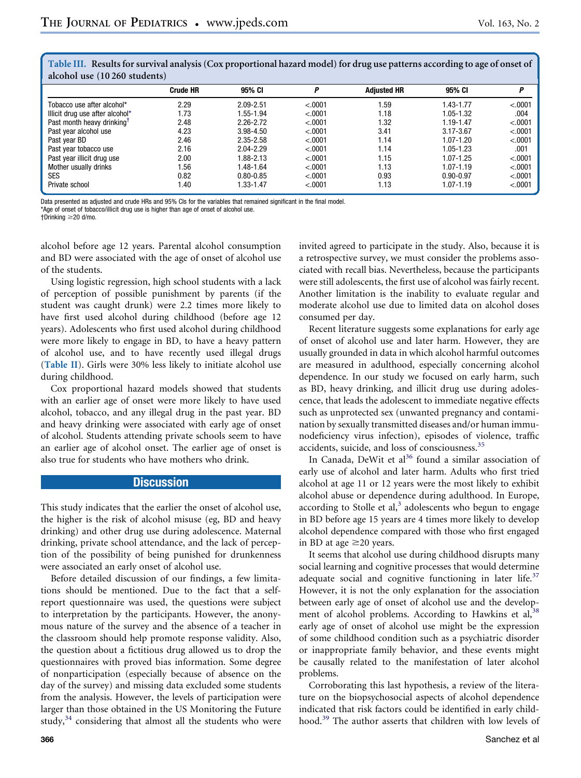| alcohol use (10 260 students)          |                 |               |          |                    |               |         |  |
|----------------------------------------|-----------------|---------------|----------|--------------------|---------------|---------|--|
|                                        | <b>Crude HR</b> | 95% CI        |          | <b>Adiusted HR</b> | 95% CI        | p       |  |
| Tobacco use after alcohol*             | 2.29            | 2.09-2.51     | < .0001  | 1.59               | 1.43-1.77     | < .0001 |  |
| Illicit drug use after alcohol*        | 1.73            | 1.55-1.94     | < .0001  | 1.18               | 1.05-1.32     | .004    |  |
| Past month heavy drinking <sup>†</sup> | 2.48            | 2.26-2.72     | $-.0001$ | 1.32               | 1.19-1.47     | < 0.001 |  |
| Past year alcohol use                  | 4.23            | $3.98 - 4.50$ | < .0001  | 3.41               | $3.17 - 3.67$ | < .0001 |  |
| Past year BD                           | 2.46            | 2.35-2.58     | < .0001  | 1.14               | 1.07-1.20     | < .0001 |  |
| Past year tobacco use                  | 2.16            | $2.04 - 2.29$ | < .0001  | 1.14               | 1.05-1.23     | .001    |  |
| Past year illicit drug use             | 2.00            | 1.88-2.13     | < .0001  | 1.15               | 1.07-1.25     | < .0001 |  |
| Mother usually drinks                  | .56             | 1.48-1.64     | < .0001  | 1.13               | 1.07-1.19     | < .0001 |  |
| <b>SES</b>                             | 0.82            | $0.80 - 0.85$ | < .0001  | 0.93               | $0.90 - 0.97$ | < .0001 |  |
| Private school                         | 1.40            | 1.33-1.47     | < .0001  | 1.13               | 1.07-1.19     | < .0001 |  |

<span id="page-3-0"></span>Table III. Results for survival analysis (Cox proportional hazard model) for drug use patterns according to age of onset of

Data presented as adjusted and crude HRs and 95% CIs for the variables that remained significant in the final model.

\*Age of onset of tobacco/illicit drug use is higher than age of onset of alcohol use.

 $\dagger$ Drinking  $\geq$ 20 d/mo.

alcohol before age 12 years. Parental alcohol consumption and BD were associated with the age of onset of alcohol use of the students.

Using logistic regression, high school students with a lack of perception of possible punishment by parents (if the student was caught drunk) were 2.2 times more likely to have first used alcohol during childhood (before age 12 years). Adolescents who first used alcohol during childhood were more likely to engage in BD, to have a heavy pattern of alcohol use, and to have recently used illegal drugs ([Table II](#page-2-0)). Girls were 30% less likely to initiate alcohol use during childhood.

Cox proportional hazard models showed that students with an earlier age of onset were more likely to have used alcohol, tobacco, and any illegal drug in the past year. BD and heavy drinking were associated with early age of onset of alcohol. Students attending private schools seem to have an earlier age of alcohol onset. The earlier age of onset is also true for students who have mothers who drink.

### **Discussion**

This study indicates that the earlier the onset of alcohol use, the higher is the risk of alcohol misuse (eg, BD and heavy drinking) and other drug use during adolescence. Maternal drinking, private school attendance, and the lack of perception of the possibility of being punished for drunkenness were associated an early onset of alcohol use.

Before detailed discussion of our findings, a few limitations should be mentioned. Due to the fact that a selfreport questionnaire was used, the questions were subject to interpretation by the participants. However, the anonymous nature of the survey and the absence of a teacher in the classroom should help promote response validity. Also, the question about a fictitious drug allowed us to drop the questionnaires with proved bias information. Some degree of nonparticipation (especially because of absence on the day of the survey) and missing data excluded some students from the analysis. However, the levels of participation were larger than those obtained in the US Monitoring the Future study, $34$  considering that almost all the students who were

invited agreed to participate in the study. Also, because it is a retrospective survey, we must consider the problems associated with recall bias. Nevertheless, because the participants were still adolescents, the first use of alcohol was fairly recent. Another limitation is the inability to evaluate regular and moderate alcohol use due to limited data on alcohol doses consumed per day.

Recent literature suggests some explanations for early age of onset of alcohol use and later harm. However, they are usually grounded in data in which alcohol harmful outcomes are measured in adulthood, especially concerning alcohol dependence. In our study we focused on early harm, such as BD, heavy drinking, and illicit drug use during adolescence, that leads the adolescent to immediate negative effects such as unprotected sex (unwanted pregnancy and contamination by sexually transmitted diseases and/or human immunodeficiency virus infection), episodes of violence, traffic accidents, suicide, and loss of consciousness.[35](#page-5-0)

In Canada, DeWit et al<sup>[36](#page-5-0)</sup> found a similar association of early use of alcohol and later harm. Adults who first tried alcohol at age 11 or 12 years were the most likely to exhibit alcohol abuse or dependence during adulthood. In Europe, according to Stolle et al, $3$  adolescents who begun to engage in BD before age 15 years are 4 times more likely to develop alcohol dependence compared with those who first engaged in BD at age  $\geq$ 20 years.

It seems that alcohol use during childhood disrupts many social learning and cognitive processes that would determine adequate social and cognitive functioning in later life.<sup>[37](#page-5-0)</sup> However, it is not the only explanation for the association between early age of onset of alcohol use and the development of alcohol problems. According to Hawkins et  $al<sub>1</sub><sup>38</sup>$  $al<sub>1</sub><sup>38</sup>$  $al<sub>1</sub><sup>38</sup>$ early age of onset of alcohol use might be the expression of some childhood condition such as a psychiatric disorder or inappropriate family behavior, and these events might be causally related to the manifestation of later alcohol problems.

Corroborating this last hypothesis, a review of the literature on the biopsychosocial aspects of alcohol dependence indicated that risk factors could be identified in early childhood.[39](#page-5-0) The author asserts that children with low levels of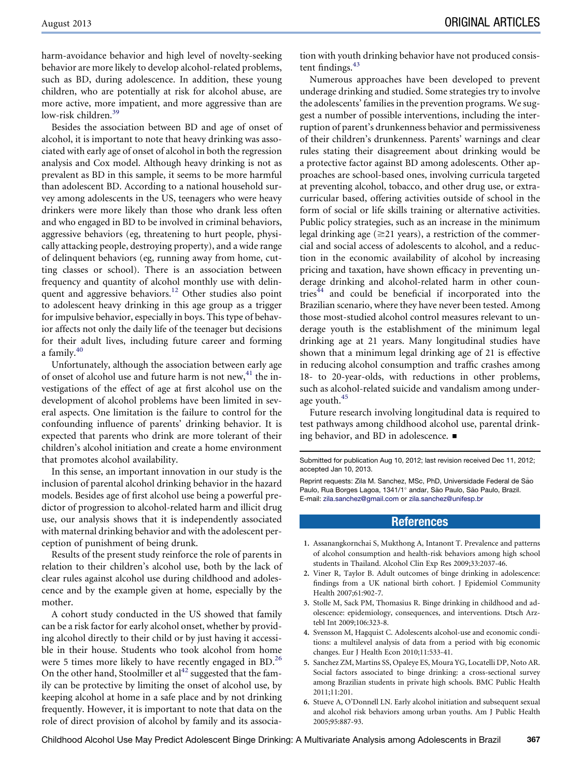<span id="page-4-0"></span>harm-avoidance behavior and high level of novelty-seeking behavior are more likely to develop alcohol-related problems, such as BD, during adolescence. In addition, these young children, who are potentially at risk for alcohol abuse, are more active, more impatient, and more aggressive than are low-risk children.<sup>[39](#page-5-0)</sup>

Besides the association between BD and age of onset of alcohol, it is important to note that heavy drinking was associated with early age of onset of alcohol in both the regression analysis and Cox model. Although heavy drinking is not as prevalent as BD in this sample, it seems to be more harmful than adolescent BD. According to a national household survey among adolescents in the US, teenagers who were heavy drinkers were more likely than those who drank less often and who engaged in BD to be involved in criminal behaviors, aggressive behaviors (eg, threatening to hurt people, physically attacking people, destroying property), and a wide range of delinquent behaviors (eg, running away from home, cutting classes or school). There is an association between frequency and quantity of alcohol monthly use with delin-quent and aggressive behaviors.<sup>[12](#page-5-0)</sup> Other studies also point to adolescent heavy drinking in this age group as a trigger for impulsive behavior, especially in boys. This type of behavior affects not only the daily life of the teenager but decisions for their adult lives, including future career and forming a family.<sup>[40](#page-5-0)</sup>

Unfortunately, although the association between early age of onset of alcohol use and future harm is not new,<sup>[41](#page-5-0)</sup> the investigations of the effect of age at first alcohol use on the development of alcohol problems have been limited in several aspects. One limitation is the failure to control for the confounding influence of parents' drinking behavior. It is expected that parents who drink are more tolerant of their children's alcohol initiation and create a home environment that promotes alcohol availability.

In this sense, an important innovation in our study is the inclusion of parental alcohol drinking behavior in the hazard models. Besides age of first alcohol use being a powerful predictor of progression to alcohol-related harm and illicit drug use, our analysis shows that it is independently associated with maternal drinking behavior and with the adolescent perception of punishment of being drunk.

Results of the present study reinforce the role of parents in relation to their children's alcohol use, both by the lack of clear rules against alcohol use during childhood and adolescence and by the example given at home, especially by the mother.

A cohort study conducted in the US showed that family can be a risk factor for early alcohol onset, whether by providing alcohol directly to their child or by just having it accessible in their house. Students who took alcohol from home were 5 times more likely to have recently engaged in  $BD$ <sup>[26](#page-5-0)</sup> On the other hand, Stoolmiller et  $al<sup>42</sup>$  $al<sup>42</sup>$  $al<sup>42</sup>$  suggested that the family can be protective by limiting the onset of alcohol use, by keeping alcohol at home in a safe place and by not drinking frequently. However, it is important to note that data on the role of direct provision of alcohol by family and its associa-

tion with youth drinking behavior have not produced consis-tent findings.<sup>[43](#page-5-0)</sup>

Numerous approaches have been developed to prevent underage drinking and studied. Some strategies try to involve the adolescents' families in the prevention programs. We suggest a number of possible interventions, including the interruption of parent's drunkenness behavior and permissiveness of their children's drunkenness. Parents' warnings and clear rules stating their disagreement about drinking would be a protective factor against BD among adolescents. Other approaches are school-based ones, involving curricula targeted at preventing alcohol, tobacco, and other drug use, or extracurricular based, offering activities outside of school in the form of social or life skills training or alternative activities. Public policy strategies, such as an increase in the minimum legal drinking age  $(\geq 21$  years), a restriction of the commercial and social access of adolescents to alcohol, and a reduction in the economic availability of alcohol by increasing pricing and taxation, have shown efficacy in preventing underage drinking and alcohol-related harm in other coun-tries<sup>[44](#page-5-0)</sup> and could be beneficial if incorporated into the Brazilian scenario, where they have never been tested. Among those most-studied alcohol control measures relevant to underage youth is the establishment of the minimum legal drinking age at 21 years. Many longitudinal studies have shown that a minimum legal drinking age of 21 is effective in reducing alcohol consumption and traffic crashes among 18- to 20-year-olds, with reductions in other problems, such as alcohol-related suicide and vandalism among underage youth.[45](#page-5-0)

Future research involving longitudinal data is required to test pathways among childhood alcohol use, parental drinking behavior, and BD in adolescence.  $\blacksquare$ 

Reprint requests: Zila M. Sanchez, MSc, PhD, Universidade Federal de São Paulo, Rua Borges Lagoa, 1341/1° andar, São Paulo, São Paulo, Brazil. E-mail: [zila.sanchez@gmail.com](mailto:zila.sanchez@gmail.com) or [zila.sanchez@unifesp.br](mailto:zila.sanchez@unifesp.br)

## References

- 1. Assanangkornchai S, Mukthong A, Intanont T. Prevalence and patterns of alcohol consumption and health-risk behaviors among high school students in Thailand. Alcohol Clin Exp Res 2009;33:2037-46.
- 2. Viner R, Taylor B. Adult outcomes of binge drinking in adolescence: findings from a UK national birth cohort. J Epidemiol Community Health 2007;61:902-7.
- 3. Stolle M, Sack PM, Thomasius R. Binge drinking in childhood and adolescence: epidemiology, consequences, and interventions. Dtsch Arztebl Int 2009;106:323-8.
- 4. Svensson M, Hagquist C. Adolescents alcohol-use and economic conditions: a multilevel analysis of data from a period with big economic changes. Eur J Health Econ 2010;11:533-41.
- 5. Sanchez ZM, Martins SS, Opaleye ES, Moura YG, Locatelli DP, Noto AR. Social factors associated to binge drinking: a cross-sectional survey among Brazilian students in private high schools. BMC Public Health 2011;11:201.
- 6. Stueve A, O'Donnell LN. Early alcohol initiation and subsequent sexual and alcohol risk behaviors among urban youths. Am J Public Health 2005;95:887-93.

Submitted for publication Aug 10, 2012; last revision received Dec 11, 2012; accepted Jan 10, 2013.